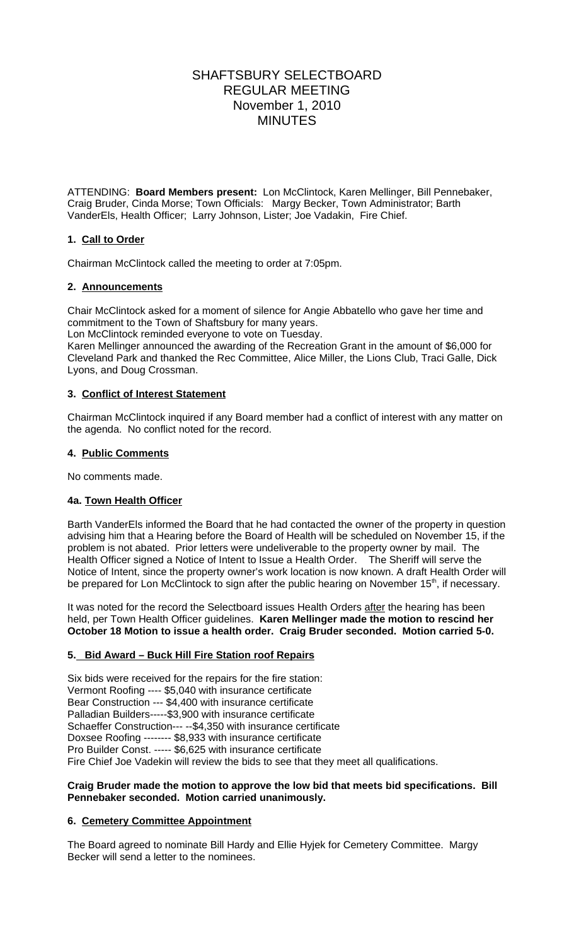# SHAFTSBURY SELECTBOARD REGULAR MEETING November 1, 2010 MINUTES

ATTENDING: **Board Members present:** Lon McClintock, Karen Mellinger, Bill Pennebaker, Craig Bruder, Cinda Morse; Town Officials: Margy Becker, Town Administrator; Barth VanderEls, Health Officer; Larry Johnson, Lister; Joe Vadakin, Fire Chief.

## **1. Call to Order**

Chairman McClintock called the meeting to order at 7:05pm.

## **2. Announcements**

Chair McClintock asked for a moment of silence for Angie Abbatello who gave her time and commitment to the Town of Shaftsbury for many years.

Lon McClintock reminded everyone to vote on Tuesday.

Karen Mellinger announced the awarding of the Recreation Grant in the amount of \$6,000 for Cleveland Park and thanked the Rec Committee, Alice Miller, the Lions Club, Traci Galle, Dick Lyons, and Doug Crossman.

## **3. Conflict of Interest Statement**

Chairman McClintock inquired if any Board member had a conflict of interest with any matter on the agenda. No conflict noted for the record.

## **4. Public Comments**

No comments made.

## **4a. Town Health Officer**

Barth VanderEls informed the Board that he had contacted the owner of the property in question advising him that a Hearing before the Board of Health will be scheduled on November 15, if the problem is not abated. Prior letters were undeliverable to the property owner by mail. The Health Officer signed a Notice of Intent to Issue a Health Order. The Sheriff will serve the Notice of Intent, since the property owner's work location is now known. A draft Health Order will be prepared for Lon McClintock to sign after the public hearing on November 15<sup>th</sup>, if necessary.

It was noted for the record the Selectboard issues Health Orders after the hearing has been held, per Town Health Officer guidelines. **Karen Mellinger made the motion to rescind her October 18 Motion to issue a health order. Craig Bruder seconded. Motion carried 5-0.** 

## **5. Bid Award – Buck Hill Fire Station roof Repairs**

Six bids were received for the repairs for the fire station: Vermont Roofing ---- \$5,040 with insurance certificate Bear Construction --- \$4,400 with insurance certificate Palladian Builders-----\$3,900 with insurance certificate Schaeffer Construction--- --\$4,350 with insurance certificate Doxsee Roofing -------- \$8,933 with insurance certificate Pro Builder Const. ----- \$6,625 with insurance certificate Fire Chief Joe Vadekin will review the bids to see that they meet all qualifications.

#### **Craig Bruder made the motion to approve the low bid that meets bid specifications. Bill Pennebaker seconded. Motion carried unanimously.**

## **6. Cemetery Committee Appointment**

The Board agreed to nominate Bill Hardy and Ellie Hyjek for Cemetery Committee. Margy Becker will send a letter to the nominees.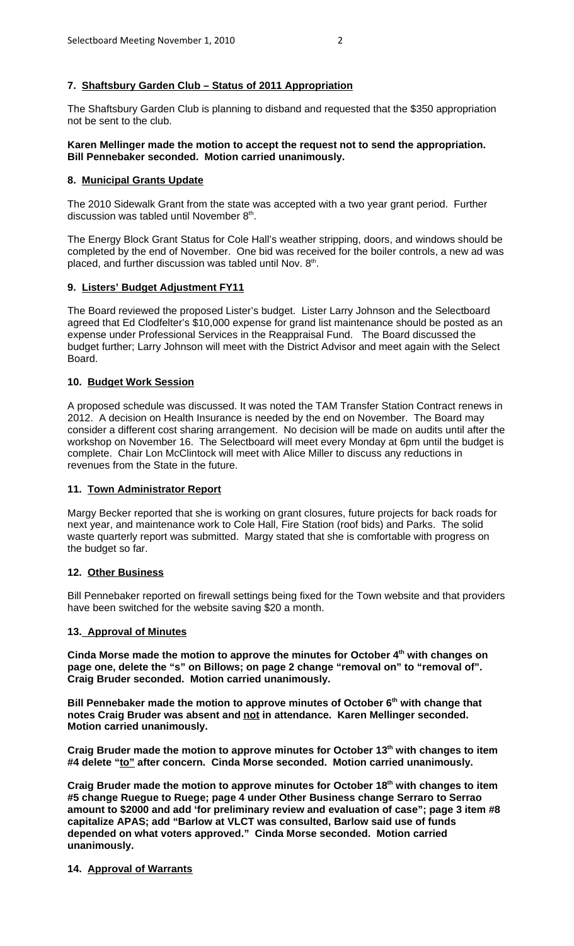## **7. Shaftsbury Garden Club – Status of 2011 Appropriation**

The Shaftsbury Garden Club is planning to disband and requested that the \$350 appropriation not be sent to the club.

#### **Karen Mellinger made the motion to accept the request not to send the appropriation. Bill Pennebaker seconded. Motion carried unanimously.**

### **8. Municipal Grants Update**

The 2010 Sidewalk Grant from the state was accepted with a two year grant period. Further discussion was tabled until November  $8<sup>th</sup>$ .

The Energy Block Grant Status for Cole Hall's weather stripping, doors, and windows should be completed by the end of November. One bid was received for the boiler controls, a new ad was placed, and further discussion was tabled until Nov. 8th.

#### **9. Listers' Budget Adjustment FY11**

The Board reviewed the proposed Lister's budget. Lister Larry Johnson and the Selectboard agreed that Ed Clodfelter's \$10,000 expense for grand list maintenance should be posted as an expense under Professional Services in the Reappraisal Fund. The Board discussed the budget further; Larry Johnson will meet with the District Advisor and meet again with the Select Board.

#### **10. Budget Work Session**

A proposed schedule was discussed. It was noted the TAM Transfer Station Contract renews in 2012. A decision on Health Insurance is needed by the end on November. The Board may consider a different cost sharing arrangement. No decision will be made on audits until after the workshop on November 16. The Selectboard will meet every Monday at 6pm until the budget is complete. Chair Lon McClintock will meet with Alice Miller to discuss any reductions in revenues from the State in the future.

#### **11. Town Administrator Report**

Margy Becker reported that she is working on grant closures, future projects for back roads for next year, and maintenance work to Cole Hall, Fire Station (roof bids) and Parks. The solid waste quarterly report was submitted. Margy stated that she is comfortable with progress on the budget so far.

#### **12. Other Business**

Bill Pennebaker reported on firewall settings being fixed for the Town website and that providers have been switched for the website saving \$20 a month.

#### **13. Approval of Minutes**

**Cinda Morse made the motion to approve the minutes for October 4th with changes on page one, delete the "s" on Billows; on page 2 change "removal on" to "removal of". Craig Bruder seconded. Motion carried unanimously.**

Bill Pennebaker made the motion to approve minutes of October 6<sup>th</sup> with change that **notes Craig Bruder was absent and not in attendance. Karen Mellinger seconded. Motion carried unanimously.**

**Craig Bruder made the motion to approve minutes for October 13th with changes to item #4 delete "to" after concern. Cinda Morse seconded. Motion carried unanimously.**

Craig Bruder made the motion to approve minutes for October 18<sup>th</sup> with changes to item **#5 change Ruegue to Ruege; page 4 under Other Business change Serraro to Serrao amount to \$2000 and add 'for preliminary review and evaluation of case"; page 3 item #8 capitalize APAS; add "Barlow at VLCT was consulted, Barlow said use of funds depended on what voters approved." Cinda Morse seconded. Motion carried unanimously.**

#### **14. Approval of Warrants**